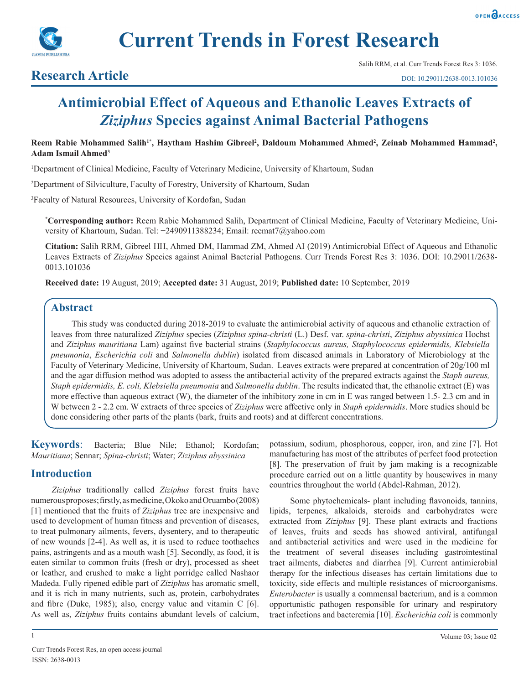



## **Research Article**

# **Antimicrobial Effect of Aqueous and Ethanolic Leaves Extracts of**  *Ziziphus* **Species against Animal Bacterial Pathogens**

Reem Rabie Mohammed Salih<sup>1\*</sup>, Haytham Hashim Gibreel<sup>2</sup>, Daldoum Mohammed Ahmed<sup>2</sup>, Zeinab Mohammed Hammad<sup>2</sup>, **Adam Ismail Ahmed3**

1 Department of Clinical Medicine, Faculty of Veterinary Medicine, University of Khartoum, Sudan

2 Department of Silviculture, Faculty of Forestry, University of Khartoum, Sudan

3 Faculty of Natural Resources, University of Kordofan, Sudan

**\* Corresponding author:** Reem Rabie Mohammed Salih, Department of Clinical Medicine, Faculty of Veterinary Medicine, University of Khartoum, Sudan. Tel: +2490911388234; Email: reemat7@yahoo.com

**Citation:** Salih RRM, Gibreel HH, Ahmed DM, Hammad ZM, Ahmed AI (2019) Antimicrobial Effect of Aqueous and Ethanolic Leaves Extracts of *Ziziphus* Species against Animal Bacterial Pathogens. Curr Trends Forest Res 3: 1036. DOI: 10.29011/2638- 0013.101036

**Received date:** 19 August, 2019; **Accepted date:** 31 August, 2019; **Published date:** 10 September, 2019

## **Abstract**

This study was conducted during 2018-2019 to evaluate the antimicrobial activity of aqueous and ethanolic extraction of leaves from three naturalized *Ziziphus* species (*Ziziphus spina-christi* (L.) Desf. var. *spina-christi*, *Ziziphus abyssinica* Hochst and *Ziziphus mauritiana* Lam) against five bacterial strains (*Staphylococcus aureus, Staphylococcus epidermidis, Klebsiella pneumonia*, *Escherichia coli* and *Salmonella dublin*) isolated from diseased animals in Laboratory of Microbiology at the Faculty of Veterinary Medicine, University of Khartoum, Sudan. Leaves extracts were prepared at concentration of 20g/100 ml and the agar diffusion method was adopted to assess the antibacterial activity of the prepared extracts against the *Staph aureus, Staph epidermidis, E. coli, Klebsiella pneumonia* and *Salmonella dublin*. The results indicated that, the ethanolic extract (E) was more effective than aqueous extract (W), the diameter of the inhibitory zone in cm in E was ranged between 1.5- 2.3 cm and in W between 2 - 2.2 cm. W extracts of three species of *Ziziphus* were affective only in *Staph epidermidis*. More studies should be done considering other parts of the plants (bark, fruits and roots) and at different concentrations.

**Keywords**: Bacteria; Blue Nile; Ethanol; Kordofan; *Mauritiana*; Sennar; *Spina-christi*; Water; *Ziziphus abyssinica*

## **Introduction**

*Ziziphus* traditionally called *Ziziphus* forest fruits have numerous proposes; firstly, as medicine, Okoko and Oruambo (2008) [1] mentioned that the fruits of *Ziziphus* tree are inexpensive and used to development of human fitness and prevention of diseases, to treat pulmonary ailments, fevers, dysentery, and to therapeutic of new wounds [2-4]. As well as, it is used to reduce toothaches pains, astringents and as a mouth wash [5]. Secondly, as food, it is eaten similar to common fruits (fresh or dry), processed as sheet or leather, and crushed to make a light porridge called Nashaor Madeda. Fully ripened edible part of *Ziziphus* has aromatic smell, and it is rich in many nutrients, such as, protein, carbohydrates and fibre (Duke, 1985); also, energy value and vitamin C [6]. As well as, *Ziziphus* fruits contains abundant levels of calcium,

1

potassium, sodium, phosphorous, copper, iron, and zinc [7]. Hot manufacturing has most of the attributes of perfect food protection [8]. The preservation of fruit by jam making is a recognizable procedure carried out on a little quantity by housewives in many countries throughout the world (Abdel-Rahman, 2012).

Some phytochemicals- plant including flavonoids, tannins, lipids, terpenes, alkaloids, steroids and carbohydrates were extracted from *Ziziphus* [9]. These plant extracts and fractions of leaves, fruits and seeds has showed antiviral, antifungal and antibacterial activities and were used in the medicine for the treatment of several diseases including gastrointestinal tract ailments, diabetes and diarrhea [9]. Current antimicrobial therapy for the infectious diseases has certain limitations due to toxicity, side effects and multiple resistances of microorganisms. *Enterobacter* is usually a commensal bacterium, and is a common opportunistic pathogen responsible for urinary and respiratory tract infections and bacteremia [10]. *Escherichia coli* is commonly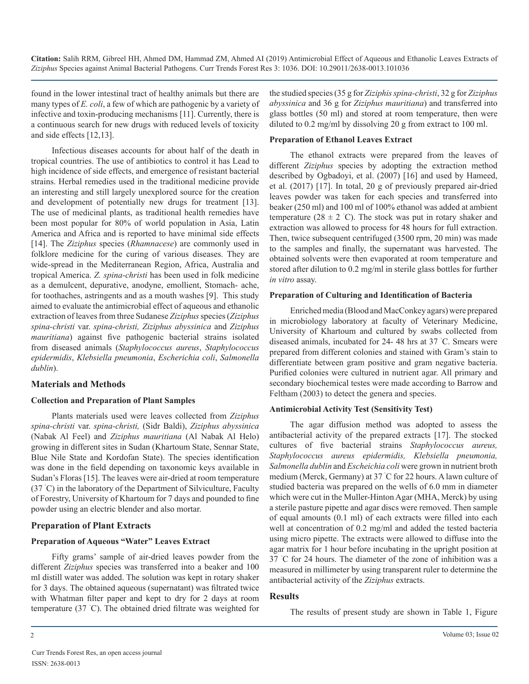found in the lower intestinal tract of healthy animals but there are many types of *E. coli*, a few of which are pathogenic by a variety of infective and toxin-producing mechanisms [11]. Currently, there is a continuous search for new drugs with reduced levels of toxicity and side effects [12,13].

Infectious diseases accounts for about half of the death in tropical countries. The use of antibiotics to control it has Lead to high incidence of side effects, and emergence of resistant bacterial strains. Herbal remedies used in the traditional medicine provide an interesting and still largely unexplored source for the creation and development of potentially new drugs for treatment [13]. The use of medicinal plants, as traditional health remedies have been most popular for 80% of world population in Asia, Latin America and Africa and is reported to have minimal side effects [14]. The *Ziziphus* species (*Rhamnacese*) are commonly used in folklore medicine for the curing of various diseases. They are wide-spread in the Mediterranean Region, Africa, Australia and tropical America. *Z. spina-christi* has been used in folk medicine as a demulcent, depurative, anodyne, emollient, Stomach- ache, for toothaches, astringents and as a mouth washes [9]. This study aimed to evaluate the antimicrobial effect of aqueous and ethanolic extraction of leaves from three Sudanese *Ziziphus* species (*Ziziphus spina-christi* var. *spina-christi, Ziziphus abyssinica* and *Ziziphus mauritiana*) against five pathogenic bacterial strains isolated from diseased animals (*Staphylococcus aureus*, *Staphylococcus epidermidis*, *Klebsiella pneumonia*, *Escherichia coli*, *Salmonella dublin*).

#### **Materials and Methods**

#### **Collection and Preparation of Plant Samples**

Plants materials used were leaves collected from *Ziziphus spina-christi* var. *spina-christi,* (Sidr Baldi), *Ziziphus abyssinica*  (Nabak Al Feel) and *Ziziphus mauritiana* (Al Nabak Al Helo) growing in different sites in Sudan (Khartoum State, Sennar State, Blue Nile State and Kordofan State). The species identification was done in the field depending on taxonomic keys available in Sudan's Floras [15]. The leaves were air-dried at room temperature (37 ˚ C) in the laboratory of the Department of Silviculture, Faculty of Forestry, University of Khartoum for 7 days and pounded to fine powder using an electric blender and also mortar.

#### **Preparation of Plant Extracts**

#### **Preparation of Aqueous "Water" Leaves Extract**

Fifty grams' sample of air-dried leaves powder from the different *Ziziphus* species was transferred into a beaker and 100 ml distill water was added. The solution was kept in rotary shaker for 3 days. The obtained aqueous (supernatant) was filtrated twice with Whatman filter paper and kept to dry for 2 days at room temperature (37 ˚ C). The obtained dried filtrate was weighted for

the studied species (35 g for *Ziziphis spina-christi*, 32 g for *Ziziphus abyssinica* and 36 g for *Ziziphus mauritiana*) and transferred into glass bottles (50 ml) and stored at room temperature, then were diluted to 0.2 mg/ml by dissolving 20 g from extract to 100 ml.

#### **Preparation of Ethanol Leaves Extract**

The ethanol extracts were prepared from the leaves of different *Ziziphus* species by adopting the extraction method described by Ogbadoyi, et al. (2007) [16] and used by Hameed, et al. (2017) [17]. In total, 20 g of previously prepared air-dried leaves powder was taken for each species and transferred into beaker (250 ml) and 100 ml of 100% ethanol was added at ambient temperature  $(28 \pm 2 \degree C)$ . The stock was put in rotary shaker and extraction was allowed to process for 48 hours for full extraction. Then, twice subsequent centrifuged (3500 rpm, 20 min) was made to the samples and finally, the supernatant was harvested. The obtained solvents were then evaporated at room temperature and stored after dilution to 0.2 mg/ml in sterile glass bottles for further *in vitro* assay.

#### **Preparation of Culturing and Identification of Bacteria**

Enriched media (Blood and MacConkey agars) were prepared in microbiology laboratory at faculty of Veterinary Medicine, University of Khartoum and cultured by swabs collected from diseased animals, incubated for 24- 48 hrs at 37 ˚ C. Smears were prepared from different colonies and stained with Gram's stain to differentiate between gram positive and gram negative bacteria. Purified colonies were cultured in nutrient agar. All primary and secondary biochemical testes were made according to Barrow and Feltham (2003) to detect the genera and species.

#### **Antimicrobial Activity Test (Sensitivity Test)**

The agar diffusion method was adopted to assess the antibacterial activity of the prepared extracts [17]. The stocked cultures of five bacterial strains *Staphylococcus aureus, Staphylococcus aureus epidermidis, Klebsiella pneumonia, Salmonella dublin* and *Escheichia coli* were grown in nutrient broth medium (Merck, Germany) at 37 ˚ C for 22 hours. A lawn culture of studied bacteria was prepared on the wells of 6.0 mm in diameter which were cut in the Muller-Hinton Agar (MHA, Merck) by using a sterile pasture pipette and agar discs were removed. Then sample of equal amounts (0.1 ml) of each extracts were filled into each well at concentration of 0.2 mg/ml and added the tested bacteria using micro pipette. The extracts were allowed to diffuse into the agar matrix for 1 hour before incubating in the upright position at 37 ˚ C for 24 hours. The diameter of the zone of inhibition was a measured in millimeter by using transparent ruler to determine the antibacterial activity of the *Ziziphus* extracts.

#### **Results**

The results of present study are shown in Table 1, Figure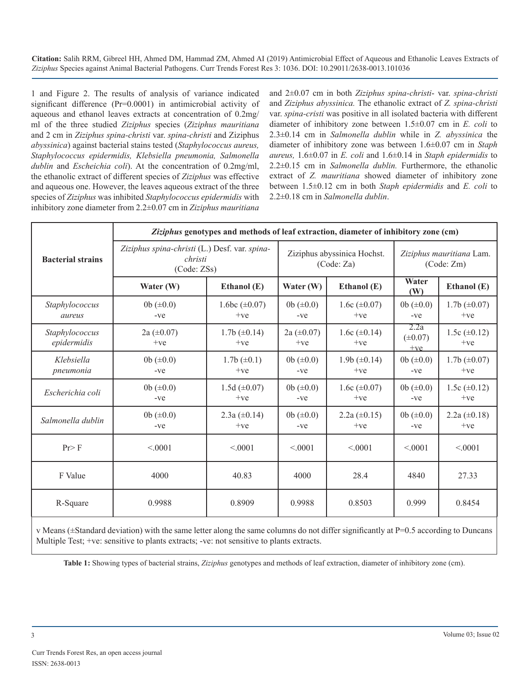1 and Figure 2. The results of analysis of variance indicated significant difference (Pr=0.0001) in antimicrobial activity of aqueous and ethanol leaves extracts at concentration of 0.2mg/ ml of the three studied *Ziziphus* species (*Ziziphus mauritiana*  and 2 cm in *Ziziphus spina-christi* var. *spina-christi* and Ziziphus *abyssinica*) against bacterial stains tested (*Staphylococcus aureus, Staphylococcus epidermidis, Klebsiella pneumonia, Salmonella dublin* and *Escheichia coli*). At the concentration of 0.2mg/ml, the ethanolic extract of different species of *Ziziphus* was effective and aqueous one. However, the leaves aqueous extract of the three species of *Ziziphus* was inhibited *Staphylococcus epidermidis* with inhibitory zone diameter from 2.2±0.07 cm in *Ziziphus mauritiana* 

and 2±0.07 cm in both *Ziziphus spina-christi*- var. *spina-christi*  and *Ziziphus abyssinica.* The ethanolic extract of *Z. spina-christi* var. *spina-cristi* was positive in all isolated bacteria with different diameter of inhibitory zone between 1.5±0.07 cm in *E. coli* to 2.3±0.14 cm in *Salmonella dublin* while in *Z. abyssinica* the diameter of inhibitory zone was between 1.6±0.07 cm in *Staph aureus,* 1.6±0.07 in *E. coli* and 1.6±0.14 in *Staph epidermidis* to 2.2±0.15 cm in *Salmonella dublin.* Furthermore, the ethanolic extract of *Z. mauritiana* showed diameter of inhibitory zone between 1.5±0.12 cm in both *Staph epidermidis* and *E. coli* to 2.2±0.18 cm in *Salmonella dublin*.

| <b>Bacterial strains</b>      | Ziziphus genotypes and methods of leaf extraction, diameter of inhibitory zone (cm) |                              |                                           |                              |                                       |                              |
|-------------------------------|-------------------------------------------------------------------------------------|------------------------------|-------------------------------------------|------------------------------|---------------------------------------|------------------------------|
|                               | Ziziphus spina-christi (L.) Desf. var. spina-<br>christi<br>(Code: ZSs)             |                              | Ziziphus abyssinica Hochst.<br>(Code: Za) |                              | Ziziphus mauritiana Lam.<br>(Code:Zm) |                              |
|                               | Water (W)                                                                           | Ethanol (E)                  | Water (W)                                 | Ethanol (E)                  | Water<br>(W)                          | Ethanol (E)                  |
| Staphylococcus<br>aureus      | 0b $(\pm 0.0)$<br>$-ve$                                                             | 1.6bc $(\pm 0.07)$<br>$+ve$  | 0b $(\pm 0.0)$<br>$-ve$                   | 1.6c $(\pm 0.07)$<br>$+ve$   | 0b $(\pm 0.0)$<br>$-ve$               | $1.7b \ (\pm 0.07)$<br>$+ve$ |
| Staphylococcus<br>epidermidis | $2a (\pm 0.07)$<br>$+ve$                                                            | $1.7b \ (\pm 0.14)$<br>$+ve$ | $2a (\pm 0.07)$<br>$+ve$                  | 1.6c $(\pm 0.14)$<br>$+ve$   | 2.2a<br>$(\pm 0.07)$<br>$+ve$         | 1.5c $(\pm 0.12)$<br>$+ve$   |
| Klebsiella<br>pneumonia       | 0b $(\pm 0.0)$<br>$-ve$                                                             | $1.7b \ (\pm 0.1)$<br>$+ve$  | 0b $(\pm 0.0)$<br>$-ve$                   | $1.9b \ (\pm 0.14)$<br>$+ve$ | 0b $(\pm 0.0)$<br>$-ve$               | $1.7b \ (\pm 0.07)$<br>$+ve$ |
| Escherichia coli              | 0b $(\pm 0.0)$<br>$-ve$                                                             | 1.5d $(\pm 0.07)$<br>$+ve$   | 0b $(\pm 0.0)$<br>$-ve$                   | 1.6c $(\pm 0.07)$<br>$+ve$   | 0b $(\pm 0.0)$<br>$-ve$               | 1.5c $(\pm 0.12)$<br>$+ve$   |
| Salmonella dublin             | 0b $(\pm 0.0)$<br>$-ve$                                                             | 2.3a $(\pm 0.14)$<br>$+ve$   | 0b $(\pm 0.0)$<br>$-ve$                   | $2.2a (\pm 0.15)$<br>$+ve$   | 0b $(\pm 0.0)$<br>$-ve$               | 2.2a $(\pm 0.18)$<br>$+ve$   |
| Pr > F                        | < 0001                                                                              | < 0.001                      | < 0.001                                   | < 0.001                      | < 0.001                               | < 0001                       |
| F Value                       | 4000                                                                                | 40.83                        | 4000                                      | 28.4                         | 4840                                  | 27.33                        |
| R-Square                      | 0.9988                                                                              | 0.8909                       | 0.9988                                    | 0.8503                       | 0.999                                 | 0.8454                       |

v Means (±Standard deviation) with the same letter along the same columns do not differ significantly at P=0.5 according to Duncans Multiple Test; +ve: sensitive to plants extracts; -ve: not sensitive to plants extracts.

**Table 1:** Showing types of bacterial strains, *Ziziphus* genotypes and methods of leaf extraction, diameter of inhibitory zone (cm).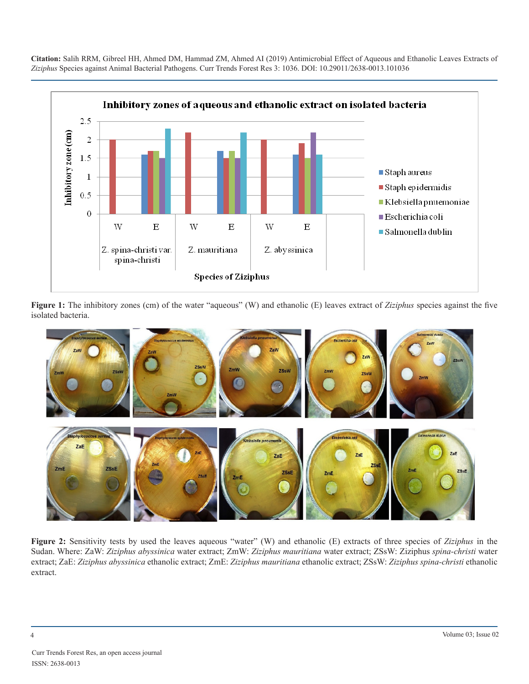

**Figure 1:** The inhibitory zones (cm) of the water "aqueous" (W) and ethanolic (E) leaves extract of *Ziziphus* species against the five isolated bacteria.



**Figure 2:** Sensitivity tests by used the leaves aqueous "water" (W) and ethanolic (E) extracts of three species of *Ziziphus* in the Sudan. Where: ZaW: *Ziziphus abyssinica* water extract; ZmW: *Ziziphus mauritiana* water extract; ZSsW: Ziziphus *spina-christi* water extract; ZaE: *Ziziphus abyssinica* ethanolic extract; ZmE: *Ziziphus mauritiana* ethanolic extract; ZSsW: *Ziziphus spina-christi* ethanolic extract.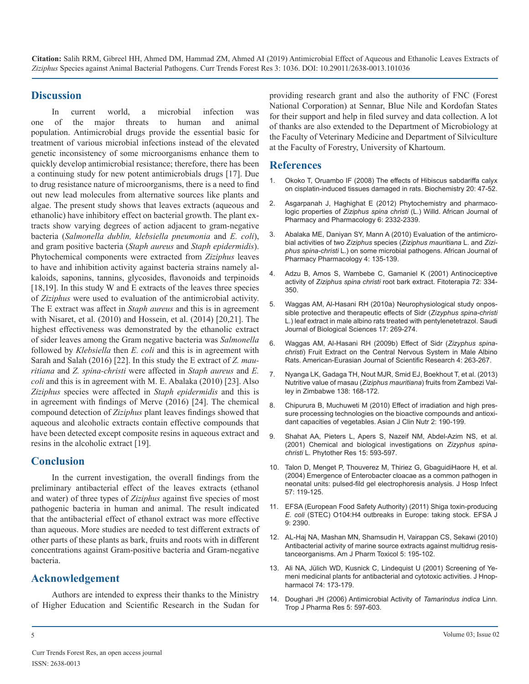#### **Discussion**

In current world, a microbial infection was one of the major threats to human and animal population. Antimicrobial drugs provide the essential basic for treatment of various microbial infections instead of the elevated genetic inconsistency of some microorganisms enhance them to quickly develop antimicrobial resistance; therefore, there has been a continuing study for new potent antimicrobials drugs [17]. Due to drug resistance nature of microorganisms, there is a need to find out new lead molecules from alternative sources like plants and algae. The present study shows that leaves extracts (aqueous and [ethanolic\) have inhibitory effect on bacterial growth. The plant ex](https://www.researchgate.net/publication/235672041_Phytochemistry_and_pharmacologic_properties_of_Ziziphus_spina_christi_L_Willd)tracts show varying degrees of action adjacent to gram-negative bacteria (*Salmonella dublin, klebsiella pneumonia* and *E. coli*), and gram positive bacteria (*Staph aureus* and *Staph epidermidis*). Phytochemical components were extracted from *Ziziphus* leaves to have and inhibition activity against bacteria strains namely al[kaloids, saponins, tannins, glycosides, flavonoids and terpinoids](https://www.ncbi.nlm.nih.gov/pubmed/11395256)  [18,19]. In this study W and E extracts of the leaves three species of *Ziziphus* were used to evaluation of the antimicrobial activity. The E extract was affect in *Staph aureus* and this is in agreement with Nisaret, et al. (2010) and Hossein, et al. (2014) [20,21]. The highest effectiveness was demonstrated by the ethanolic extract of sider leaves among the Gram negative bacteria was *Salmonella*  followed by *Klebsiella* then *E. coli* and this is in agreement with Sarah and Salah (2016) [22]. In this study the E extract of *Z. mauritiana* and *Z. spina-christi* were affected in *Staph aureus* and *E. coli* [and this is in agreement with M. E. Abalaka \(2010\) \[23\]. Also](https://www.ncbi.nlm.nih.gov/pubmed/23265472)  *Ziziphus* species were affected in *Staph epidermidis* and this is in agreement with findings of Merve (2016) [24]. The chemical compound detection of *Ziziphus* plant leaves findings showed that aqueous and alcoholic extracts contain effective compounds that have been detected except composite resins in aqueous extract and resins in the alcoholic extract [19].

#### **Conclusion**

In the current investigation, the overall findings from the preliminary antibacterial effect of the leaves extracts (ethanol and water) of three types of *Ziziphus* against five species of most pathogenic bacteria in human and animal. The result indicated that the antibacterial effect of ethanol extract was more effective than aqueous. More studies are needed to test different extracts of other parts of these plants as bark, fruits and roots with in different concentrations against Gram-positive bacteria and Gram-negative bacteria.

## **Acknowledgement**

Authors are intended to express their thanks to the Ministry of Higher Education and Scientific Research in the Sudan for providing research grant and also the authority of FNC (Forest National Corporation) at Sennar, Blue Nile and Kordofan States for their support and help in filed survey and data collection. A lot of thanks are also extended to the Department of Microbiology at the Faculty of Veterinary Medicine and Department of Silviculture at the Faculty of Forestry, University of Khartoum.

#### **References**

- 1. [Okoko T, Oruambo IF \(2008\) The effects of Hibiscus sabdariffa calyx](https://www.ajol.info/index.php/biokem/article/view/56438)  [on cisplatin-induced tissues damaged in rats. Biochemistry 20: 47-52.](https://www.ajol.info/index.php/biokem/article/view/56438)
- 2. [Asgarpanah J, Haghighat E \(2012\) Phytochemistry and pharmaco](https://www.researchgate.net/publication/235672041_Phytochemistry_and_pharmacologic_properties_of_Ziziphus_spina_christi_L_Willd)logic properties of *Ziziphus spina christi* (L.) Willd. African Journal of [Pharmacy and Pharmacology 6: 2332-2339.](https://www.researchgate.net/publication/235672041_Phytochemistry_and_pharmacologic_properties_of_Ziziphus_spina_christi_L_Willd)
- 3. [Abalaka ME, Daniyan SY, Mann A \(2010\) Evaluation of the antimicro](https://www.researchgate.net/publication/228635730_Evaluation_of_the_antimicrobial_activities_of_two_Ziziphus_species_Ziziphus_mauritiana_L_and_Ziziphus_spinachristi_L_on_some_microbial_pathogens)bial activities of two *Ziziphus* species (*[Ziziphus mauritiana](https://www.researchgate.net/publication/228635730_Evaluation_of_the_antimicrobial_activities_of_two_Ziziphus_species_Ziziphus_mauritiana_L_and_Ziziphus_spinachristi_L_on_some_microbial_pathogens)* L. and *Ziziphus spina-christi* [L.\) on some microbial pathogens. African Journal of](https://www.researchgate.net/publication/228635730_Evaluation_of_the_antimicrobial_activities_of_two_Ziziphus_species_Ziziphus_mauritiana_L_and_Ziziphus_spinachristi_L_on_some_microbial_pathogens)  [Pharmacy Pharmacology 4: 135-139.](https://www.researchgate.net/publication/228635730_Evaluation_of_the_antimicrobial_activities_of_two_Ziziphus_species_Ziziphus_mauritiana_L_and_Ziziphus_spinachristi_L_on_some_microbial_pathogens)
- 4. [Adzu B, Amos S, Wambebe C, Gamaniel K \(2001\) Antinociceptive](https://www.ncbi.nlm.nih.gov/pubmed/11395256)  activity of *Ziziphus spina christi* root bark extract. Fitoterapia 72: 334- [350.](https://www.ncbi.nlm.nih.gov/pubmed/11395256)
- 5. [Waggas AM, Al-Hasani RH \(2010a\) Neurophysiological study onpos](https://www.ncbi.nlm.nih.gov/pubmed/23961090)[sible protective and therapeutic effects of Sidr \(](https://www.ncbi.nlm.nih.gov/pubmed/23961090)*Zizyphus spina-christi* [L.\) leaf extract in male albino rats treated with pentylenetetrazol. Saudi](https://www.ncbi.nlm.nih.gov/pubmed/23961090)  [Journal of Biological Sciences 17: 269-274.](https://www.ncbi.nlm.nih.gov/pubmed/23961090)
- 6. [Waggas AM, Al-Hasani RH \(2009b\) Effect of Sidr \(](https://www.researchgate.net/publication/237114708_Effect_of_Sidr_Zizyphus_spina-christi_Fruit_Extract_on_the_Central_Nervous_System_in_Male_Albino_Rats)*Zizyphus spinachristi*[\) Fruit Extract on the Central Nervous System in Male Albino](https://www.researchgate.net/publication/237114708_Effect_of_Sidr_Zizyphus_spina-christi_Fruit_Extract_on_the_Central_Nervous_System_in_Male_Albino_Rats)  [Rats. American-Eurasian Journal of Scientific Research 4: 263-267](https://www.researchgate.net/publication/237114708_Effect_of_Sidr_Zizyphus_spina-christi_Fruit_Extract_on_the_Central_Nervous_System_in_Male_Albino_Rats).
- 7. [Nyanga LK, Gadaga TH, Nout MJR, Smid EJ, Boekhout T, et al. \(2013\)](https://www.ncbi.nlm.nih.gov/pubmed/23265472)  Nutritive value of masau (*Ziziphus mauritiana*) fruits from Zambezi Val[ley in Zimbabwe 138: 168-172.](https://www.ncbi.nlm.nih.gov/pubmed/23265472)
- 8. [Chipurura B, Muchuweti M \(2010\) Effect of irradiation and high pres](https://scialert.net/fulltextmobile/?doi=ajcn.2010.190.199)[sure processing technologies on the bioactive compounds and antioxi](https://scialert.net/fulltextmobile/?doi=ajcn.2010.190.199)[dant capacities of vegetables. Asian J Clin Nutr 2: 190-199.](https://scialert.net/fulltextmobile/?doi=ajcn.2010.190.199)
- 9. [Shahat AA, Pieters L, Apers S, Nazeif NM, Abdel-Azim NS, et al.](https://www.ncbi.nlm.nih.gov/pubmed/11746840)  [\(2001\) Chemical and biological investigations on](https://www.ncbi.nlm.nih.gov/pubmed/11746840) *Zizyphus spinachristi* [L. Phytother Res 15: 593-597.](https://www.ncbi.nlm.nih.gov/pubmed/11746840)
- 10. [Talon D, Menget P, Thouverez M, Thiriez G, GbaguidiHaore H, et al.](https://www.ncbi.nlm.nih.gov/pubmed/15183241)  [\(2004\) Emergence of Enterobacter cloacae as a common pathogen in](https://www.ncbi.nlm.nih.gov/pubmed/15183241)  [neonatal units: pulsed-fild gel electrophoresis analysis. J Hosp Infect](https://www.ncbi.nlm.nih.gov/pubmed/15183241)  [57: 119-125.](https://www.ncbi.nlm.nih.gov/pubmed/15183241)
- 11. [EFSA \(European Food Safety Authority\) \(2011\) Shiga toxin-producing](https://www.efsa.europa.eu/en/efsajournal/pub/2390)  *E. coli* [\(STEC\) O104:H4 outbreaks in Europe: taking stock. EFSA J](https://www.efsa.europa.eu/en/efsajournal/pub/2390)  [9: 2390.](https://www.efsa.europa.eu/en/efsajournal/pub/2390)
- 12. [AL-Haj NA, Mashan MN, Shamsudin H, Vairappan CS, Sekawi \(2010\)](https://thescipub.com/abstract/10.3844/ajptsp.2010.95.102) [Antibacterial activity of marine source extracts against multidrug resis](https://thescipub.com/abstract/10.3844/ajptsp.2010.95.102)[tanceorganisms. Am J Pharm Toxicol 5: 195-102.](https://thescipub.com/abstract/10.3844/ajptsp.2010.95.102)
- 13. [Ali NA, Jülich WD, Kusnick C, Lindequist U \(2001\) Screening of Ye](https://www.ncbi.nlm.nih.gov/pubmed/11167035)[meni medicinal plants for antibacterial and cytotoxic activities. J Hnop](https://www.ncbi.nlm.nih.gov/pubmed/11167035)[harmacol 74: 173-179.](https://www.ncbi.nlm.nih.gov/pubmed/11167035)
- 14. [Doughari JH \(2006\) Antimicrobial Activity of](https://www.tjpr.org/vol5_no2/524Doughari.pdf) *Tamarindus indica* Linn. [Trop J Pharma Res 5: 597-603.](https://www.tjpr.org/vol5_no2/524Doughari.pdf)